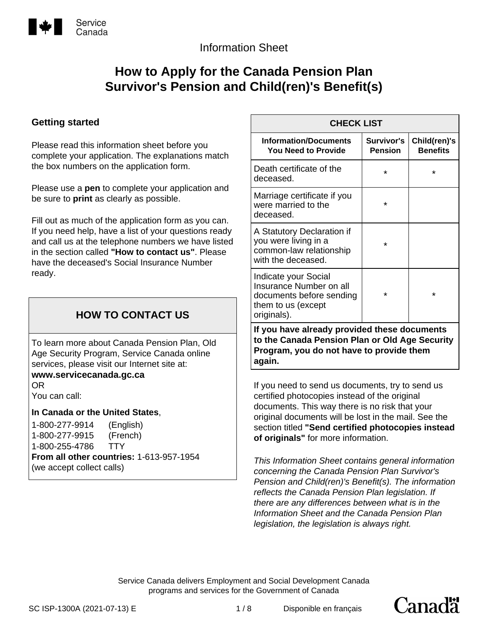

# Information Sheet

# **How to Apply for the Canada Pension Plan Survivor's Pension and Child(ren)'s Benefit(s)**

### **Getting started**

Please read this information sheet before you complete your application. The explanations match the box numbers on the application form.

Please use a **pen** to complete your application and be sure to **print** as clearly as possible.

Fill out as much of the application form as you can. If you need help, have a list of your questions ready and call us at the telephone numbers we have listed in the section called **"How to contact us"**. Please have the deceased's Social Insurance Number ready.

# **HOW TO CONTACT US**

To learn more about Canada Pension Plan, Old Age Security Program, Service Canada online services, please visit our Internet site at: **www.servicecanada.gc.ca** 

OR You can call:

**In Canada or the United States**,

1-800-277-9914 (English) 1-800-277-9915 (French) 1-800-255-4786 TTY **From all other countries:** 1-613-957-1954 (we accept collect calls)

| <b>CHECK LIST</b>                                                                                                                          |                              |                                 |
|--------------------------------------------------------------------------------------------------------------------------------------------|------------------------------|---------------------------------|
| <b>Information/Documents</b><br><b>You Need to Provide</b>                                                                                 | Survivor's<br><b>Pension</b> | Child(ren)'s<br><b>Benefits</b> |
| Death certificate of the<br>deceased.                                                                                                      | $\star$                      | $\star$                         |
| Marriage certificate if you<br>were married to the<br>deceased.                                                                            | *                            |                                 |
| A Statutory Declaration if<br>you were living in a<br>common-law relationship<br>with the deceased.                                        | $\star$                      |                                 |
| Indicate your Social<br>Insurance Number on all<br>documents before sending<br>them to us (except<br>originals).                           | $\star$                      | $\star$                         |
| If you have already provided these documents<br>to the Canada Pension Plan or Old Age Security<br>Program, you do not have to provide them |                              |                                 |

**again.**

If you need to send us documents, try to send us certified photocopies instead of the original documents. This way there is no risk that your original documents will be lost in the mail. See the section titled **"Send certified photocopies instead of originals"** for more information.

*This Information Sheet contains general information concerning the Canada Pension Plan Survivor's Pension and Child(ren)'s Benefit(s). The information reflects the Canada Pension Plan legislation. If there are any differences between what is in the Information Sheet and the Canada Pension Plan legislation, the legislation is always right.*

Canadä

Service Canada delivers Employment and Social Development Canada programs and services for the Government of Canada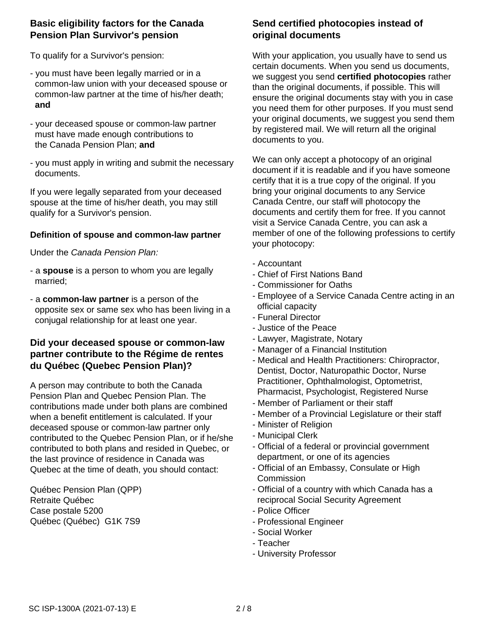### **Basic eligibility factors for the Canada Pension Plan Survivor's pension**

To qualify for a Survivor's pension:

- you must have been legally married or in a common-law union with your deceased spouse or common-law partner at the time of his/her death; **and**
- your deceased spouse or common-law partner must have made enough contributions to the Canada Pension Plan; **and**
- you must apply in writing and submit the necessary documents.

If you were legally separated from your deceased spouse at the time of his/her death, you may still qualify for a Survivor's pension.

### **Definition of spouse and common-law partner**

Under the *Canada Pension Plan:*

- a **spouse** is a person to whom you are legally married;
- a **common-law partner** is a person of the opposite sex or same sex who has been living in a conjugal relationship for at least one year.

### **Did your deceased spouse or common-law partner contribute to the Régime de rentes du Québec (Quebec Pension Plan)?**

A person may contribute to both the Canada Pension Plan and Quebec Pension Plan. The contributions made under both plans are combined when a benefit entitlement is calculated. If your deceased spouse or common-law partner only contributed to the Quebec Pension Plan, or if he/she contributed to both plans and resided in Quebec, or the last province of residence in Canada was Quebec at the time of death, you should contact:

Québec Pension Plan (QPP) Retraite Québec Case postale 5200 Québec (Québec) G1K 7S9

## **Send certified photocopies instead of original documents**

With your application, you usually have to send us certain documents. When you send us documents, we suggest you send **certified photocopies** rather than the original documents, if possible. This will ensure the original documents stay with you in case you need them for other purposes. If you must send your original documents, we suggest you send them by registered mail. We will return all the original documents to you.

We can only accept a photocopy of an original document if it is readable and if you have someone certify that it is a true copy of the original. If you bring your original documents to any Service Canada Centre, our staff will photocopy the documents and certify them for free. If you cannot visit a Service Canada Centre, you can ask a member of one of the following professions to certify your photocopy:

- Accountant
- Chief of First Nations Band
- Commissioner for Oaths
- Employee of a Service Canada Centre acting in an official capacity
- Funeral Director
- Justice of the Peace
- Lawyer, Magistrate, Notary
- Manager of a Financial Institution
- Medical and Health Practitioners: Chiropractor, Dentist, Doctor, Naturopathic Doctor, Nurse Practitioner, Ophthalmologist, Optometrist, Pharmacist, Psychologist, Registered Nurse
- Member of Parliament or their staff
- Member of a Provincial Legislature or their staff
- Minister of Religion
- Municipal Clerk
- Official of a federal or provincial government department, or one of its agencies
- Official of an Embassy, Consulate or High **Commission**
- Official of a country with which Canada has a reciprocal Social Security Agreement
- Police Officer
- Professional Engineer
- Social Worker
- Teacher
- University Professor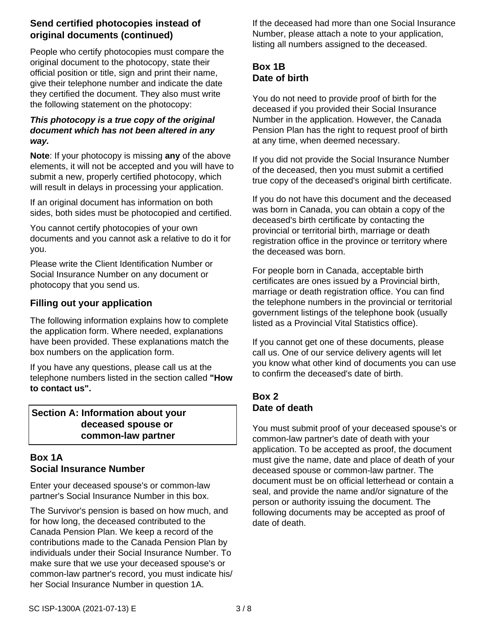## **Send certified photocopies instead of original documents (continued)**

People who certify photocopies must compare the original document to the photocopy, state their official position or title, sign and print their name, give their telephone number and indicate the date they certified the document. They also must write the following statement on the photocopy:

### *This photocopy is a true copy of the original document which has not been altered in any way.*

**Note**: If your photocopy is missing **any** of the above elements, it will not be accepted and you will have to submit a new, properly certified photocopy, which will result in delays in processing your application.

If an original document has information on both sides, both sides must be photocopied and certified.

You cannot certify photocopies of your own documents and you cannot ask a relative to do it for you.

Please write the Client Identification Number or Social Insurance Number on any document or photocopy that you send us.

## **Filling out your application**

The following information explains how to complete the application form. Where needed, explanations have been provided. These explanations match the box numbers on the application form.

If you have any questions, please call us at the telephone numbers listed in the section called **"How to contact us".**

**Section A: Information about your deceased spouse or common-law partner**

## **Box 1A Social Insurance Number**

Enter your deceased spouse's or common-law partner's Social Insurance Number in this box.

The Survivor's pension is based on how much, and for how long, the deceased contributed to the Canada Pension Plan. We keep a record of the contributions made to the Canada Pension Plan by individuals under their Social Insurance Number. To make sure that we use your deceased spouse's or common-law partner's record, you must indicate his/ her Social Insurance Number in question 1A.

If the deceased had more than one Social Insurance Number, please attach a note to your application, listing all numbers assigned to the deceased.

# **Box 1B Date of birth**

You do not need to provide proof of birth for the deceased if you provided their Social Insurance Number in the application. However, the Canada Pension Plan has the right to request proof of birth at any time, when deemed necessary.

If you did not provide the Social Insurance Number of the deceased, then you must submit a certified true copy of the deceased's original birth certificate.

If you do not have this document and the deceased was born in Canada, you can obtain a copy of the deceased's birth certificate by contacting the provincial or territorial birth, marriage or death registration office in the province or territory where the deceased was born.

For people born in Canada, acceptable birth certificates are ones issued by a Provincial birth, marriage or death registration office. You can find the telephone numbers in the provincial or territorial government listings of the telephone book (usually listed as a Provincial Vital Statistics office).

If you cannot get one of these documents, please call us. One of our service delivery agents will let you know what other kind of documents you can use to confirm the deceased's date of birth.

# **Box 2 Date of death**

You must submit proof of your deceased spouse's or common-law partner's date of death with your application. To be accepted as proof, the document must give the name, date and place of death of your deceased spouse or common-law partner. The document must be on official letterhead or contain a seal, and provide the name and/or signature of the person or authority issuing the document. The following documents may be accepted as proof of date of death.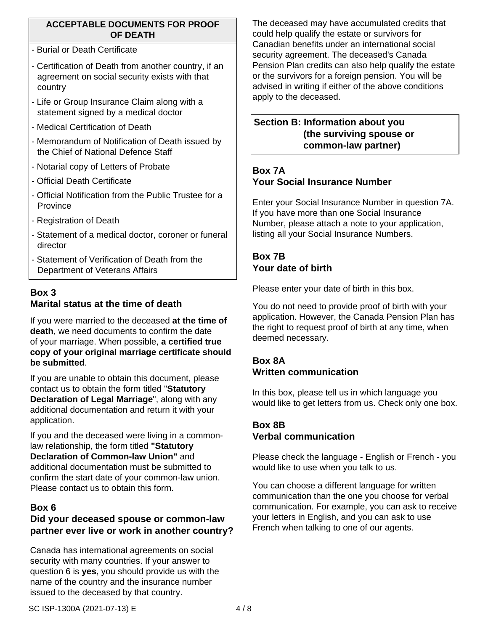### **ACCEPTABLE DOCUMENTS FOR PROOF OF DEATH**

- Burial or Death Certificate
- Certification of Death from another country, if an agreement on social security exists with that country
- Life or Group Insurance Claim along with a statement signed by a medical doctor
- Medical Certification of Death
- Memorandum of Notification of Death issued by the Chief of National Defence Staff
- Notarial copy of Letters of Probate
- Official Death Certificate
- Official Notification from the Public Trustee for a Province
- Registration of Death
- Statement of a medical doctor, coroner or funeral director
- Statement of Verification of Death from the Department of Veterans Affairs

## **Box 3 Marital status at the time of death**

If you were married to the deceased **at the time of death**, we need documents to confirm the date of your marriage. When possible, **a certified true copy of your original marriage certificate should be submitted**.

If you are unable to obtain this document, please contact us to obtain the form titled "**Statutory Declaration of Legal Marriage**", along with any additional documentation and return it with your application.

If you and the deceased were living in a commonlaw relationship, the form titled **"Statutory Declaration of Common-law Union"** and additional documentation must be submitted to confirm the start date of your common-law union. Please contact us to obtain this form.

### **Box 6**

# **Did your deceased spouse or common-law partner ever live or work in another country?**

Canada has international agreements on social security with many countries. If your answer to question 6 is **yes**, you should provide us with the name of the country and the insurance number issued to the deceased by that country.

The deceased may have accumulated credits that could help qualify the estate or survivors for Canadian benefits under an international social security agreement. The deceased's Canada Pension Plan credits can also help qualify the estate or the survivors for a foreign pension. You will be advised in writing if either of the above conditions apply to the deceased.

### **Section B: Information about you (the surviving spouse or common-law partner)**

# **Box 7A Your Social Insurance Number**

Enter your Social Insurance Number in question 7A. If you have more than one Social Insurance Number, please attach a note to your application, listing all your Social Insurance Numbers.

# **Box 7B Your date of birth**

Please enter your date of birth in this box.

You do not need to provide proof of birth with your application. However, the Canada Pension Plan has the right to request proof of birth at any time, when deemed necessary.

## **Box 8A Written communication**

In this box, please tell us in which language you would like to get letters from us. Check only one box.

### **Box 8B Verbal communication**

Please check the language - English or French - you would like to use when you talk to us.

You can choose a different language for written communication than the one you choose for verbal communication. For example, you can ask to receive your letters in English, and you can ask to use French when talking to one of our agents.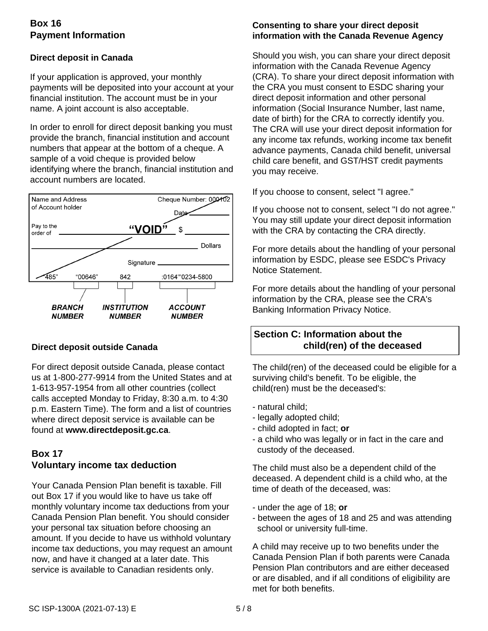# **Box 16 Payment Information**

### **Direct deposit in Canada**

If your application is approved, your monthly payments will be deposited into your account at your financial institution. The account must be in your name. A joint account is also acceptable.

In order to enroll for direct deposit banking you must provide the branch, financial institution and account numbers that appear at the bottom of a cheque. A sample of a void cheque is provided below identifying where the branch, financial institution and account numbers are located.



### **Direct deposit outside Canada**

For direct deposit outside Canada, please contact us at 1-800-277-9914 from the United States and at 1-613-957-1954 from all other countries (collect calls accepted Monday to Friday, 8:30 a.m. to 4:30 p.m. Eastern Time). The form and a list of countries where direct deposit service is available can be found at **www.directdeposit.gc.ca**.

## **Box 17 Voluntary income tax deduction**

Your Canada Pension Plan benefit is taxable. Fill out Box 17 if you would like to have us take off monthly voluntary income tax deductions from your Canada Pension Plan benefit. You should consider your personal tax situation before choosing an amount. If you decide to have us withhold voluntary income tax deductions, you may request an amount now, and have it changed at a later date. This service is available to Canadian residents only.

### **Consenting to share your direct deposit information with the Canada Revenue Agency**

Should you wish, you can share your direct deposit information with the Canada Revenue Agency (CRA). To share your direct deposit information with the CRA you must consent to ESDC sharing your direct deposit information and other personal information (Social Insurance Number, last name, date of birth) for the CRA to correctly identify you. The CRA will use your direct deposit information for any income tax refunds, working income tax benefit advance payments, Canada child benefit, universal child care benefit, and GST/HST credit payments you may receive.

If you choose to consent, select "I agree."

If you choose not to consent, select "I do not agree." You may still update your direct deposit information with the CRA by contacting the CRA directly.

For more details about the handling of your personal information by ESDC, please see ESDC's Privacy Notice Statement.

For more details about the handling of your personal information by the CRA, please see the CRA's Banking Information Privacy Notice.

# **Section C: Information about the child(ren) of the deceased**

The child(ren) of the deceased could be eligible for a surviving child's benefit. To be eligible, the child(ren) must be the deceased's:

- natural child;
- legally adopted child;
- child adopted in fact; **or**
- a child who was legally or in fact in the care and custody of the deceased.

The child must also be a dependent child of the deceased. A dependent child is a child who, at the time of death of the deceased, was:

- under the age of 18; **or**
- between the ages of 18 and 25 and was attending school or university full-time.

A child may receive up to two benefits under the Canada Pension Plan if both parents were Canada Pension Plan contributors and are either deceased or are disabled, and if all conditions of eligibility are met for both benefits.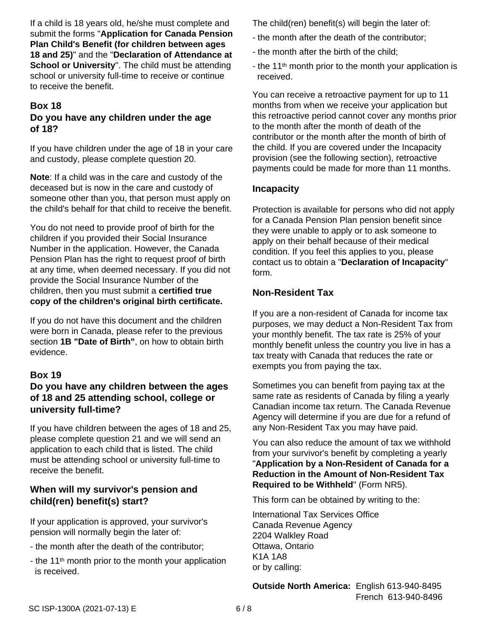If a child is 18 years old, he/she must complete and submit the forms "**Application for Canada Pension Plan Child's Benefit (for children between ages 18 and 25)**" and the "**Declaration of Attendance at School or University".** The child must be attending school or university full-time to receive or continue to receive the benefit.

### **Box 18 Do you have any children under the age of 18?**

If you have children under the age of 18 in your care and custody, please complete question 20.

**Note**: If a child was in the care and custody of the deceased but is now in the care and custody of someone other than you, that person must apply on the child's behalf for that child to receive the benefit.

You do not need to provide proof of birth for the children if you provided their Social Insurance Number in the application. However, the Canada Pension Plan has the right to request proof of birth at any time, when deemed necessary. If you did not provide the Social Insurance Number of the children, then you must submit a **certified true copy of the children's original birth certificate.**

If you do not have this document and the children were born in Canada, please refer to the previous section **1B "Date of Birth"**, on how to obtain birth evidence.

## **Box 19**

## **Do you have any children between the ages of 18 and 25 attending school, college or university full-time?**

If you have children between the ages of 18 and 25, please complete question 21 and we will send an application to each child that is listed. The child must be attending school or university full-time to receive the benefit.

### **When will my survivor's pension and child(ren) benefit(s) start?**

If your application is approved, your survivor's pension will normally begin the later of:

- the month after the death of the contributor;
- the 11<sup>th</sup> month prior to the month your application is received.

The child(ren) benefit(s) will begin the later of:

- the month after the death of the contributor;
- the month after the birth of the child;
- the 11<sup>th</sup> month prior to the month your application is received.

You can receive a retroactive payment for up to 11 months from when we receive your application but this retroactive period cannot cover any months prior to the month after the month of death of the contributor or the month after the month of birth of the child. If you are covered under the Incapacity provision (see the following section), retroactive payments could be made for more than 11 months.

### **Incapacity**

Protection is available for persons who did not apply for a Canada Pension Plan pension benefit since they were unable to apply or to ask someone to apply on their behalf because of their medical condition. If you feel this applies to you, please contact us to obtain a "**Declaration of Incapacity**" form.

## **Non-Resident Tax**

If you are a non-resident of Canada for income tax purposes, we may deduct a Non-Resident Tax from your monthly benefit. The tax rate is 25% of your monthly benefit unless the country you live in has a tax treaty with Canada that reduces the rate or exempts you from paying the tax.

Sometimes you can benefit from paying tax at the same rate as residents of Canada by filing a yearly Canadian income tax return. The Canada Revenue Agency will determine if you are due for a refund of any Non-Resident Tax you may have paid.

You can also reduce the amount of tax we withhold from your survivor's benefit by completing a yearly "**Application by a Non-Resident of Canada for a Reduction in the Amount of Non-Resident Tax Required to be Withheld**" (Form NR5).

This form can be obtained by writing to the:

International Tax Services Office Canada Revenue Agency 2204 Walkley Road Ottawa, Ontario K1A 1A8 or by calling:

**Outside North America:** English 613-940-8495 French 613-940-8496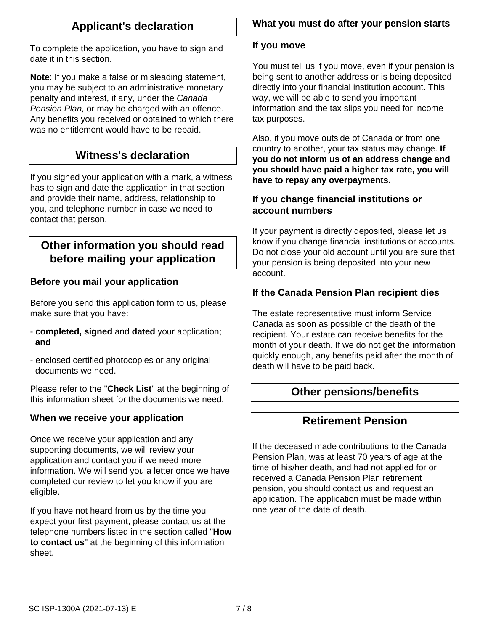# **Applicant's declaration**

To complete the application, you have to sign and date it in this section.

**Note**: If you make a false or misleading statement, you may be subject to an administrative monetary penalty and interest, if any, under the *Canada Pension Plan,* or may be charged with an offence. Any benefits you received or obtained to which there was no entitlement would have to be repaid.

# **Witness's declaration**

If you signed your application with a mark, a witness has to sign and date the application in that section and provide their name, address, relationship to you, and telephone number in case we need to contact that person.

# **Other information you should read before mailing your application**

## **Before you mail your application**

Before you send this application form to us, please make sure that you have:

- **completed, signed** and **dated** your application; **and**
- enclosed certified photocopies or any original documents we need.

Please refer to the "**Check List**" at the beginning of this information sheet for the documents we need.

### **When we receive your application**

Once we receive your application and any supporting documents, we will review your application and contact you if we need more information. We will send you a letter once we have completed our review to let you know if you are eligible.

If you have not heard from us by the time you expect your first payment, please contact us at the telephone numbers listed in the section called "**How to contact us**" at the beginning of this information sheet.

# **What you must do after your pension starts**

### **If you move**

You must tell us if you move, even if your pension is being sent to another address or is being deposited directly into your financial institution account. This way, we will be able to send you important information and the tax slips you need for income tax purposes.

Also, if you move outside of Canada or from one country to another, your tax status may change. **If you do not inform us of an address change and you should have paid a higher tax rate, you will have to repay any overpayments.**

### **If you change financial institutions or account numbers**

If your payment is directly deposited, please let us know if you change financial institutions or accounts. Do not close your old account until you are sure that your pension is being deposited into your new account.

### **If the Canada Pension Plan recipient dies**

The estate representative must inform Service Canada as soon as possible of the death of the recipient. Your estate can receive benefits for the month of your death. If we do not get the information quickly enough, any benefits paid after the month of death will have to be paid back.

# **Other pensions/benefits**

## **Retirement Pension**

If the deceased made contributions to the Canada Pension Plan, was at least 70 years of age at the time of his/her death, and had not applied for or received a Canada Pension Plan retirement pension, you should contact us and request an application. The application must be made within one year of the date of death.